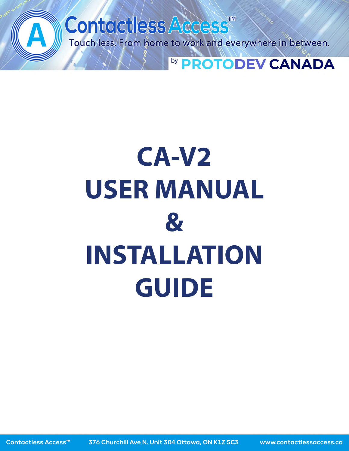



# **USER MANUAL**



## **INSTALLATION GUIDE**

#### Contactless Access™ Unit 304 Ottawa, ON K1Z 5C3 www.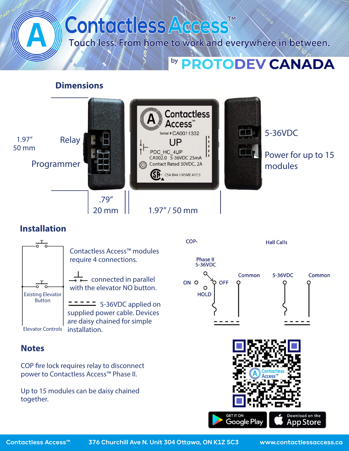

#### **Dimensions**

Contactless Access<sup>™</sup> 5-36VDC Serial # CA0011332 Relay 1.97" 50 mm PDC HC 4UP Power for up to 15 CA002.0 5-36VDC 25mA



#### **Installation**



 $\overline{\phantom{a}}$  connected in parallel with the elevator NO button.

Contactless Access™ modules require 4 connections.

 5-36VDC applied on supplied power cable. Devices are daisy chained for simple



#### **Notes**

Contactless Access™

COP fire lock requires relay to disconnect power to Contactless Access™ Phase II.

Up to 15 modules can be daisy chained together.





Unit 304 Ottawa, ON K1Z 5C3 www.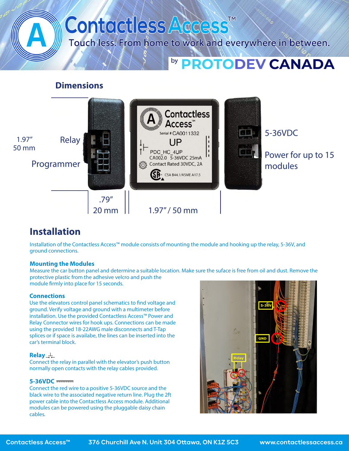

#### **Dimensions**

Contactless Access<sup>™</sup> 5-36VDC Serial # CA0011332 Relay 1.97" 50 mm PDC HC 4UP Power for up to 15 CA002.0 5-36VDC 25mA



#### **Installation**

Measure the car button panel and determine a suitable location. Make sure the suface is free from oil and dust. Remove the protective plastic from the adhesive velcro and push the module firmly into place for 15 seconds.

Installation of the Contactless Access™ module consists of mounting the module and hooking up the relay, 5-36V, and ground connections.

#### **Mounting the Modules**

Use the elevators control panel schematics to find voltage and ground. Verify voltage and ground with a multimeter before installation. Use the provided Contactless Access™ Power and Relay Connector wires for hook ups. Connections can be made using the provided 18-22AWG male disconnects and T-Tap splices or if space is availabe, the lines can be inserted into the car's terminal block.



#### **Connections**

#### **Relay**

Connect the relay in parallel with the elevator's push button normally open contacts with the relay cables provided.

#### **5-36VDC**

Connect the red wire to a positive 5-36VDC source and the black wire to the associated negative return line. Plug the 2ft power cable into the Contactless Access module. Additional modules can be powered using the pluggable daisy chain cables.

#### Contactless Access™ Unit 304 Ottawa, ON K1Z 5C3 www.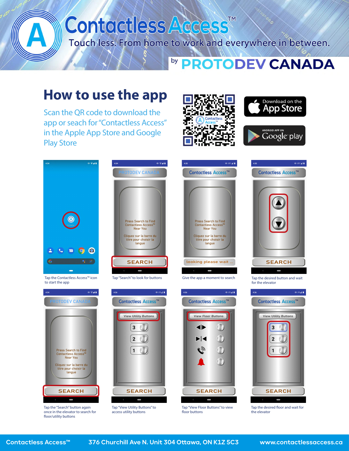

once in the elevator to search for floor/utility buttons









access utility buttons

floor buttons

the elevator

Contactless Access™ Unit 304 Ottawa, ON K1Z 5C3 www.

contactlessaccess.ca

## Contactless Access<sup>TM</sup> Touch less. From home to work and everywhere in between. by PROTODEV CANADA

## **How to use the app**

Scan the QR code to download the app or seach for "Contactless Access" in the Apple App Store and Google Play Store







|  |                                                                                                                                 |  |  | $\mathcal{L}^{\text{max}}_{\text{max}}$ and $\mathcal{L}^{\text{max}}_{\text{max}}$ and $\mathcal{L}^{\text{max}}_{\text{max}}$ and $\mathcal{L}^{\text{max}}_{\text{max}}$ |  |
|--|---------------------------------------------------------------------------------------------------------------------------------|--|--|-----------------------------------------------------------------------------------------------------------------------------------------------------------------------------|--|
|  |                                                                                                                                 |  |  |                                                                                                                                                                             |  |
|  |                                                                                                                                 |  |  |                                                                                                                                                                             |  |
|  |                                                                                                                                 |  |  |                                                                                                                                                                             |  |
|  |                                                                                                                                 |  |  |                                                                                                                                                                             |  |
|  |                                                                                                                                 |  |  |                                                                                                                                                                             |  |
|  |                                                                                                                                 |  |  | $\mathcal{L}^{\text{max}}_{\text{max}}$ and $\mathcal{L}^{\text{max}}_{\text{max}}$ and $\mathcal{L}^{\text{max}}_{\text{max}}$ and $\mathcal{L}^{\text{max}}_{\text{max}}$ |  |
|  |                                                                                                                                 |  |  |                                                                                                                                                                             |  |
|  |                                                                                                                                 |  |  | $\mathcal{L}^{\text{max}}_{\text{max}}$ and $\mathcal{L}^{\text{max}}_{\text{max}}$ and $\mathcal{L}^{\text{max}}_{\text{max}}$                                             |  |
|  | $\mathcal{L}^{\text{max}}_{\text{max}}$ and $\mathcal{L}^{\text{max}}_{\text{max}}$ and $\mathcal{L}^{\text{max}}_{\text{max}}$ |  |  | $\mathcal{L}(\mathcal{L})$ and $\mathcal{L}(\mathcal{L})$ and $\mathcal{L}(\mathcal{L})$ and $\mathcal{L}(\mathcal{L})$ and $\mathcal{L}(\mathcal{L})$                      |  |
|  |                                                                                                                                 |  |  |                                                                                                                                                                             |  |
|  |                                                                                                                                 |  |  |                                                                                                                                                                             |  |
|  |                                                                                                                                 |  |  |                                                                                                                                                                             |  |
|  |                                                                                                                                 |  |  | $\mathcal{L}^{\text{max}}_{\text{max}}$ and $\mathcal{L}^{\text{max}}_{\text{max}}$ and $\mathcal{L}^{\text{max}}_{\text{max}}$ and $\mathcal{L}^{\text{max}}_{\text{max}}$ |  |
|  |                                                                                                                                 |  |  | $\mathcal{L}^{\text{max}}_{\text{max}}$ and $\mathcal{L}^{\text{max}}_{\text{max}}$ and $\mathcal{L}^{\text{max}}_{\text{max}}$ and $\mathcal{L}^{\text{max}}_{\text{max}}$ |  |
|  |                                                                                                                                 |  |  |                                                                                                                                                                             |  |
|  |                                                                                                                                 |  |  |                                                                                                                                                                             |  |
|  |                                                                                                                                 |  |  |                                                                                                                                                                             |  |
|  |                                                                                                                                 |  |  |                                                                                                                                                                             |  |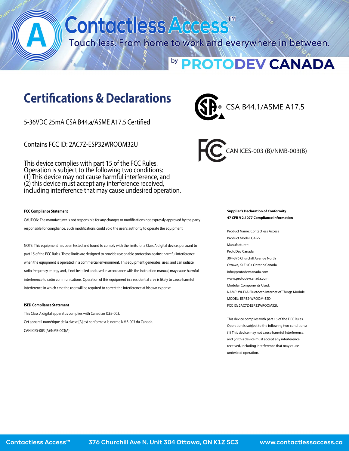## Contactless Access<sup>TM</sup> Touch less. From home to work and everywhere in between. by **PROTODEV CANADA**

### **Certications & Declarations**

5-36VDC 25mA CSA B44.a/ASME A17.5 Certified

Contains FCC ID: 2AC7Z-ESP32WROOM32U

This device complies with part 15 of the FCC Rules. Operation is subject to the following two conditions: (1) This device may not cause harmful interference, and (2) this device must accept any interference received, including interference that may cause undesired operation.

#### **FCC Compliance Statement**

CAUTION: The manufacturer is not responsible for any changes or modifications not expressly approved by the party responsible for compliance. Such modifications could void the user's authority to operate the equipment.

NOTE: This equipment has been tested and found to comply with the limits for a Class A digital device, pursuant to part 15 of the FCC Rules. These limits are designed to provide reasonable protection against harmful interference when the equipment is operated in a commercial environment. This equipment generates, uses, and can radiate radio frequency energy and, if not installed and used in accordance with the instruction manual, may cause harmful interference to radio communications. Operation of this equipment in a residential area is likely to cause harmful interference in which case the user will be required to correct the interference at hisown expense.

#### **ISED Compliance Statement**

This Class A digital apparatus complies with Canadian ICES-003. Cet appareil numérique de la classe [A] est conforme à la norme NMB-003 du Canada.

CAN ICES-003 (A)/NMB-003(A)

**Supplier's Declaration of Conformity 47 CFR § 2.1077 Compliance Information**  Product Name: Contactless Access Product Model: CA-V2 Manufacturer: ProtoDev Canada 304-376 Churchill Avenue North Ottawa, K1Z 5C3 Ontario Canada info@protodevcanada.com www.protodevcanada.com Modular Components Used: NAME: Wi-Fi & Bluetooth Internet of Things Module MODEL: ESP32-WROOM-32D FCC ID: 2AC7Z-ESP32WROOM32U

This device complies with part 15 of the FCC Rules. Operation is subject to the following two conditions:

(1) This device may not cause harmful interference, and (2) this device must accept any interference received, including interference that may cause undesired operation.

#### Contactless Access™ Unit 304 Ottawa, ON K1Z 5C3 www.